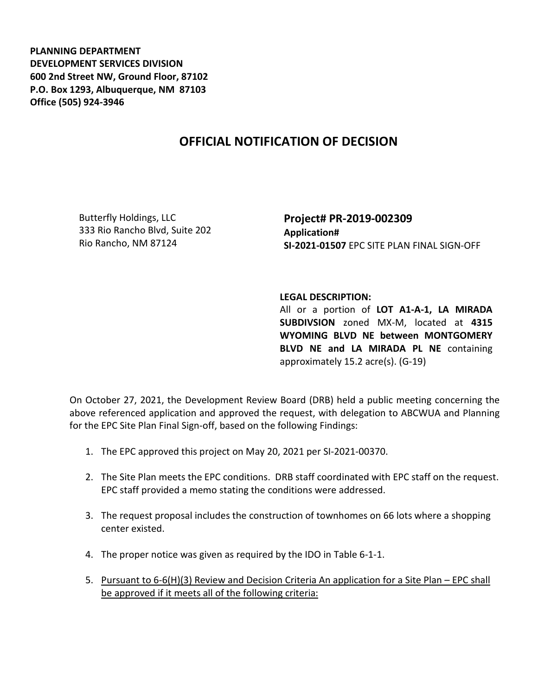**PLANNING DEPARTMENT DEVELOPMENT SERVICES DIVISION 600 2nd Street NW, Ground Floor, 87102 P.O. Box 1293, Albuquerque, NM 87103 Office (505) 924-3946** 

## **OFFICIAL NOTIFICATION OF DECISION**

Butterfly Holdings, LLC 333 Rio Rancho Blvd, Suite 202 Rio Rancho, NM 87124

**Project# PR-2019-002309 Application# SI-2021-01507** EPC SITE PLAN FINAL SIGN-OFF

## **LEGAL DESCRIPTION:**

All or a portion of **LOT A1-A-1, LA MIRADA SUBDIVSION** zoned MX-M, located at **4315 WYOMING BLVD NE between MONTGOMERY BLVD NE and LA MIRADA PL NE** containing approximately 15.2 acre(s). (G-19)

On October 27, 2021, the Development Review Board (DRB) held a public meeting concerning the above referenced application and approved the request, with delegation to ABCWUA and Planning for the EPC Site Plan Final Sign-off, based on the following Findings:

- 1. The EPC approved this project on May 20, 2021 per SI-2021-00370.
- 2. The Site Plan meets the EPC conditions. DRB staff coordinated with EPC staff on the request. EPC staff provided a memo stating the conditions were addressed.
- 3. The request proposal includes the construction of townhomes on 66 lots where a shopping center existed.
- 4. The proper notice was given as required by the IDO in Table 6-1-1.
- 5. Pursuant to 6-6(H)(3) Review and Decision Criteria An application for a Site Plan EPC shall be approved if it meets all of the following criteria: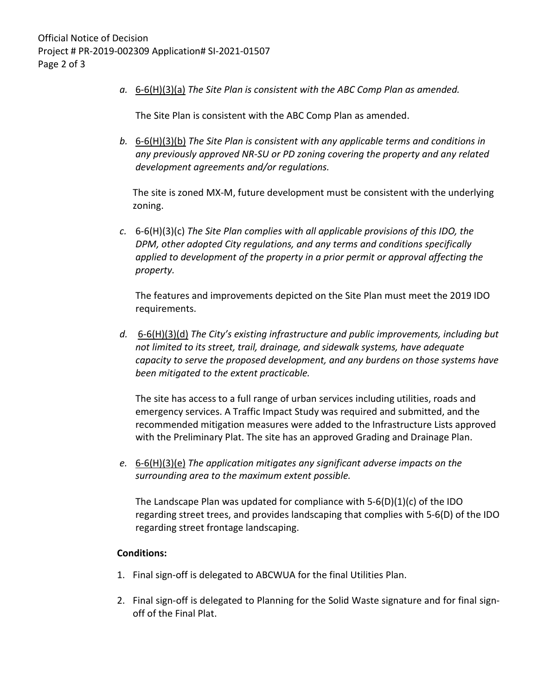*a.* 6-6(H)(3)(a) *The Site Plan is consistent with the ABC Comp Plan as amended.*

The Site Plan is consistent with the ABC Comp Plan as amended.

*b.* 6-6(H)(3)(b) *The Site Plan is consistent with any applicable terms and conditions in any previously approved NR-SU or PD zoning covering the property and any related development agreements and/or regulations.* 

The site is zoned MX-M, future development must be consistent with the underlying zoning.

*c.* 6-6(H)(3)(c) *The Site Plan complies with all applicable provisions of this IDO, the DPM, other adopted City regulations, and any terms and conditions specifically applied to development of the property in a prior permit or approval affecting the property.* 

The features and improvements depicted on the Site Plan must meet the 2019 IDO requirements.

*d.* 6-6(H)(3)(d) *The City's existing infrastructure and public improvements, including but not limited to its street, trail, drainage, and sidewalk systems, have adequate capacity to serve the proposed development, and any burdens on those systems have been mitigated to the extent practicable.* 

The site has access to a full range of urban services including utilities, roads and emergency services. A Traffic Impact Study was required and submitted, and the recommended mitigation measures were added to the Infrastructure Lists approved with the Preliminary Plat. The site has an approved Grading and Drainage Plan.

*e.* 6-6(H)(3)(e) *The application mitigates any significant adverse impacts on the surrounding area to the maximum extent possible.* 

The Landscape Plan was updated for compliance with 5-6(D)(1)(c) of the IDO regarding street trees, and provides landscaping that complies with 5-6(D) of the IDO regarding street frontage landscaping.

## **Conditions:**

- 1. Final sign-off is delegated to ABCWUA for the final Utilities Plan.
- 2. Final sign-off is delegated to Planning for the Solid Waste signature and for final signoff of the Final Plat.